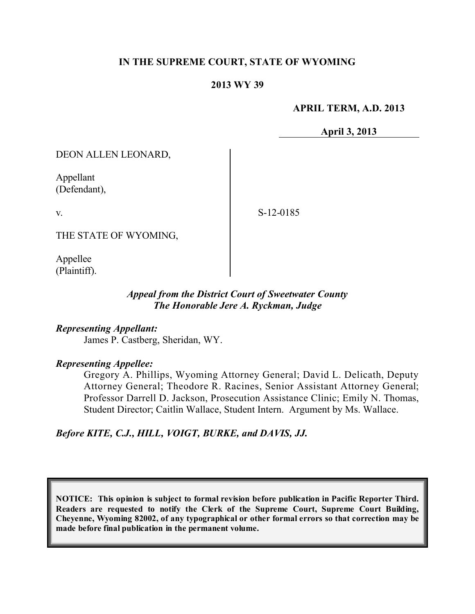## **IN THE SUPREME COURT, STATE OF WYOMING**

### **2013 WY 39**

#### **APRIL TERM, A.D. 2013**

**April 3, 2013**

DEON ALLEN LEONARD,

Appellant (Defendant),

v.

S-12-0185

THE STATE OF WYOMING,

Appellee (Plaintiff).

## *Appeal from the District Court of Sweetwater County The Honorable Jere A. Ryckman, Judge*

*Representing Appellant:* James P. Castberg, Sheridan, WY.

#### *Representing Appellee:*

Gregory A. Phillips, Wyoming Attorney General; David L. Delicath, Deputy Attorney General; Theodore R. Racines, Senior Assistant Attorney General; Professor Darrell D. Jackson, Prosecution Assistance Clinic; Emily N. Thomas, Student Director; Caitlin Wallace, Student Intern. Argument by Ms. Wallace.

*Before KITE, C.J., HILL, VOIGT, BURKE, and DAVIS, JJ.*

**NOTICE: This opinion is subject to formal revision before publication in Pacific Reporter Third. Readers are requested to notify the Clerk of the Supreme Court, Supreme Court Building, Cheyenne, Wyoming 82002, of any typographical or other formal errors so that correction may be made before final publication in the permanent volume.**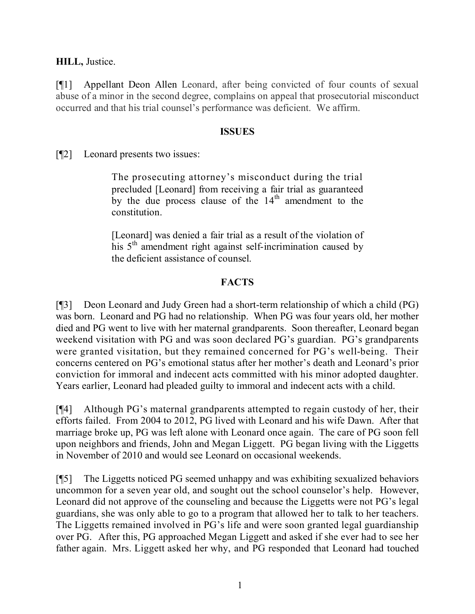**HILL,** Justice.

[¶1] Appellant Deon Allen Leonard, after being convicted of four counts of sexual abuse of a minor in the second degree, complains on appeal that prosecutorial misconduct occurred and that his trial counsel's performance was deficient. We affirm.

## **ISSUES**

[¶2] Leonard presents two issues:

The prosecuting attorney's misconduct during the trial precluded [Leonard] from receiving a fair trial as guaranteed by the due process clause of the 14<sup>th</sup> amendment to the constitution.

[Leonard] was denied a fair trial as a result of the violation of his 5<sup>th</sup> amendment right against self-incrimination caused by the deficient assistance of counsel.

## **FACTS**

[¶3] Deon Leonard and Judy Green had a short-term relationship of which a child (PG) was born. Leonard and PG had no relationship. When PG was four years old, her mother died and PG went to live with her maternal grandparents. Soon thereafter, Leonard began weekend visitation with PG and was soon declared PG's guardian. PG's grandparents were granted visitation, but they remained concerned for PG's well-being. Their concerns centered on PG's emotional status after her mother's death and Leonard's prior conviction for immoral and indecent acts committed with his minor adopted daughter. Years earlier, Leonard had pleaded guilty to immoral and indecent acts with a child.

[¶4] Although PG's maternal grandparents attempted to regain custody of her, their efforts failed. From 2004 to 2012, PG lived with Leonard and his wife Dawn. After that marriage broke up, PG was left alone with Leonard once again. The care of PG soon fell upon neighbors and friends, John and Megan Liggett. PG began living with the Liggetts in November of 2010 and would see Leonard on occasional weekends.

[¶5] The Liggetts noticed PG seemed unhappy and was exhibiting sexualized behaviors uncommon for a seven year old, and sought out the school counselor's help. However, Leonard did not approve of the counseling and because the Liggetts were not PG's legal guardians, she was only able to go to a program that allowed her to talk to her teachers. The Liggetts remained involved in PG's life and were soon granted legal guardianship over PG. After this, PG approached Megan Liggett and asked if she ever had to see her father again. Mrs. Liggett asked her why, and PG responded that Leonard had touched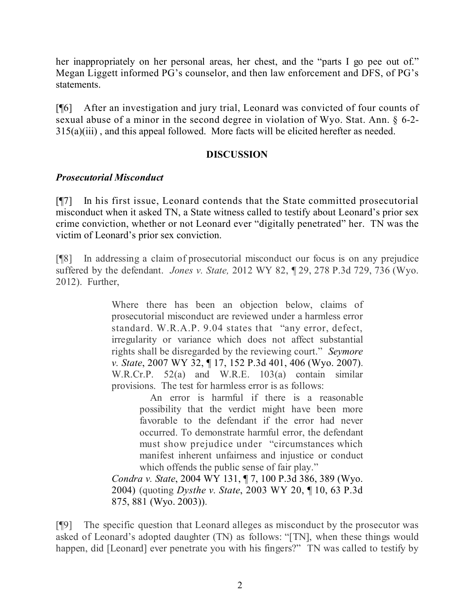her inappropriately on her personal areas, her chest, and the "parts I go pee out of." Megan Liggett informed PG's counselor, and then law enforcement and DFS, of PG's statements.

[¶6] After an investigation and jury trial, Leonard was convicted of four counts of sexual abuse of a minor in the second degree in violation of Wyo. Stat. Ann. § 6-2- 315(a)(iii) , and this appeal followed. More facts will be elicited herefter as needed.

## **DISCUSSION**

## *Prosecutorial Misconduct*

[¶7] In his first issue, Leonard contends that the State committed prosecutorial misconduct when it asked TN, a State witness called to testify about Leonard's prior sex crime conviction, whether or not Leonard ever "digitally penetrated" her. TN was the victim of Leonard's prior sex conviction.

[¶8] In addressing a claim of prosecutorial misconduct our focus is on any prejudice suffered by the defendant. *Jones v. State,* 2012 WY 82, ¶ 29, 278 P.3d 729, 736 (Wyo. 2012). Further,

> Where there has been an objection below, claims of prosecutorial misconduct are reviewed under a harmless error standard. W.R.A.P. 9.04 states that "any error, defect, irregularity or variance which does not affect substantial rights shall be disregarded by the reviewing court." *Seymore v. State*, 2007 WY 32, ¶ 17, 152 P.3d 401, 406 (Wyo. 2007). W.R.Cr.P. 52(a) and W.R.E. 103(a) contain similar provisions. The test for harmless error is as follows:

An error is harmful if there is a reasonable possibility that the verdict might have been more favorable to the defendant if the error had never occurred. To demonstrate harmful error, the defendant must show prejudice under "circumstances which manifest inherent unfairness and injustice or conduct which offends the public sense of fair play."

*Condra v. State*, 2004 WY 131, ¶ 7, 100 P.3d 386, 389 (Wyo. 2004) (quoting *Dysthe v. State*, 2003 WY 20, ¶ 10, 63 P.3d 875, 881 (Wyo. 2003)).

[¶9] The specific question that Leonard alleges as misconduct by the prosecutor was asked of Leonard's adopted daughter (TN) as follows: "[TN], when these things would happen, did [Leonard] ever penetrate you with his fingers?" TN was called to testify by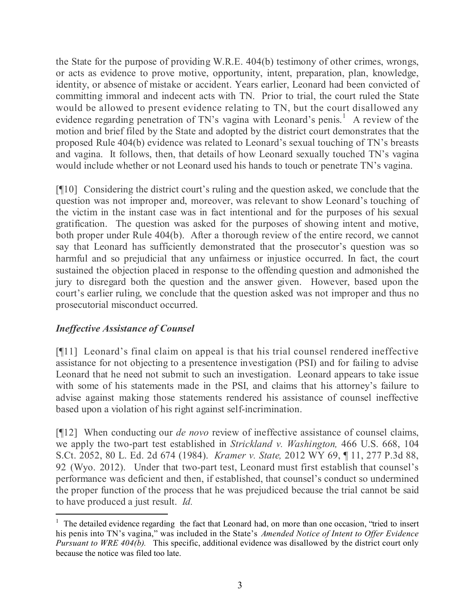the State for the purpose of providing W.R.E. 404(b) testimony of other crimes, wrongs, or acts as evidence to prove motive, opportunity, intent, preparation, plan, knowledge, identity, or absence of mistake or accident. Years earlier, Leonard had been convicted of committing immoral and indecent acts with TN. Prior to trial, the court ruled the State would be allowed to present evidence relating to TN, but the court disallowed any evidence regarding penetration of TN's vagina with Leonard's penis.<sup>1</sup> A review of the motion and brief filed by the State and adopted by the district court demonstrates that the proposed Rule 404(b) evidence was related to Leonard's sexual touching of TN's breasts and vagina. It follows, then, that details of how Leonard sexually touched TN's vagina would include whether or not Leonard used his hands to touch or penetrate TN's vagina.

[¶10] Considering the district court's ruling and the question asked, we conclude that the question was not improper and, moreover, was relevant to show Leonard's touching of the victim in the instant case was in fact intentional and for the purposes of his sexual gratification. The question was asked for the purposes of showing intent and motive, both proper under Rule 404(b). After a thorough review of the entire record, we cannot say that Leonard has sufficiently demonstrated that the prosecutor's question was so harmful and so prejudicial that any unfairness or injustice occurred. In fact, the court sustained the objection placed in response to the offending question and admonished the jury to disregard both the question and the answer given. However, based upon the court's earlier ruling, we conclude that the question asked was not improper and thus no prosecutorial misconduct occurred.

# *Ineffective Assistance of Counsel*

 $\overline{a}$ 

[¶11] Leonard's final claim on appeal is that his trial counsel rendered ineffective assistance for not objecting to a presentence investigation (PSI) and for failing to advise Leonard that he need not submit to such an investigation. Leonard appears to take issue with some of his statements made in the PSI, and claims that his attorney's failure to advise against making those statements rendered his assistance of counsel ineffective based upon a violation of his right against self-incrimination.

[¶12] When conducting our *de novo* review of ineffective assistance of counsel claims, we apply the two-part test established in *Strickland v. Washington,* 466 U.S. 668, 104 S.Ct. 2052, 80 L. Ed. 2d 674 (1984). *Kramer v. State,* 2012 WY 69, ¶ 11, 277 P.3d 88, 92 (Wyo. 2012). Under that two-part test, Leonard must first establish that counsel's performance was deficient and then, if established, that counsel's conduct so undermined the proper function of the process that he was prejudiced because the trial cannot be said to have produced a just result. *Id.*

<sup>&</sup>lt;sup>1</sup> The detailed evidence regarding the fact that Leonard had, on more than one occasion, "tried to insert his penis into TN's vagina," was included in the State's *Amended Notice of Intent to Offer Evidence Pursuant to WRE 404(b).* This specific, additional evidence was disallowed by the district court only because the notice was filed too late.